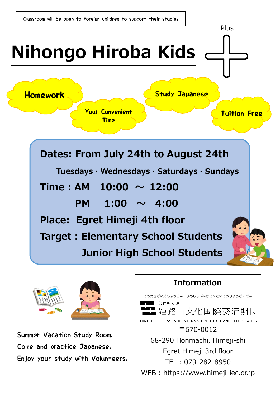



Summer Vacation Study Room. Come and practice Japanese. Enjoy your study with Volunteers.

### **Information**

こうえきざいだんほうじん ひめじしぶんかこくさいこうりゅうざいだん 公益財団法人 姫路市文化国際交流財団 HIMEJI CULTURAL AND INTERNATIONAL EXCHANGE FOUNDATION 〒670‐0012 68‐290 Honmachi, Himeji‐shi Egret Himeji 3rd floor TEL : 079‐282‐8950 WEB : https://www.himeji-iec.or.jp